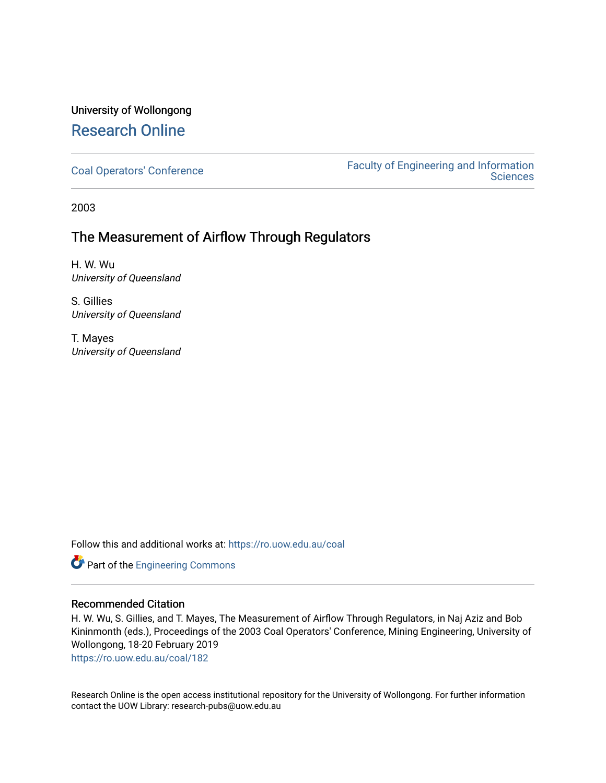# University of Wollongong [Research Online](https://ro.uow.edu.au/)

[Coal Operators' Conference](https://ro.uow.edu.au/coal) [Faculty of Engineering and Information](https://ro.uow.edu.au/eis)  **Sciences** 

2003

# The Measurement of Airflow Through Regulators

H. W. Wu University of Queensland

S. Gillies University of Queensland

T. Mayes University of Queensland

Follow this and additional works at: [https://ro.uow.edu.au/coal](https://ro.uow.edu.au/coal?utm_source=ro.uow.edu.au%2Fcoal%2F182&utm_medium=PDF&utm_campaign=PDFCoverPages) 

Part of the [Engineering Commons](http://network.bepress.com/hgg/discipline/217?utm_source=ro.uow.edu.au%2Fcoal%2F182&utm_medium=PDF&utm_campaign=PDFCoverPages)

# Recommended Citation

H. W. Wu, S. Gillies, and T. Mayes, The Measurement of Airflow Through Regulators, in Naj Aziz and Bob Kininmonth (eds.), Proceedings of the 2003 Coal Operators' Conference, Mining Engineering, University of Wollongong, 18-20 February 2019

[https://ro.uow.edu.au/coal/182](https://ro.uow.edu.au/coal/182?utm_source=ro.uow.edu.au%2Fcoal%2F182&utm_medium=PDF&utm_campaign=PDFCoverPages) 

Research Online is the open access institutional repository for the University of Wollongong. For further information contact the UOW Library: research-pubs@uow.edu.au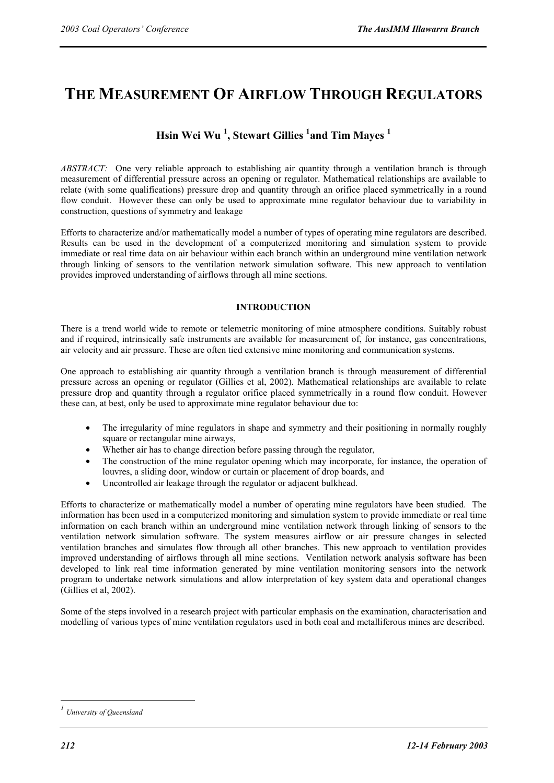# **THE MEASUREMENT OF AIRFLOW THROUGH REGULATORS**

# **Hsin Wei Wu 1 , Stewart Gillies 1 and Tim Mayes <sup>1</sup>**

*ABSTRACT:* One very reliable approach to establishing air quantity through a ventilation branch is through measurement of differential pressure across an opening or regulator. Mathematical relationships are available to relate (with some qualifications) pressure drop and quantity through an orifice placed symmetrically in a round flow conduit. However these can only be used to approximate mine regulator behaviour due to variability in construction, questions of symmetry and leakage

Efforts to characterize and/or mathematically model a number of types of operating mine regulators are described. Results can be used in the development of a computerized monitoring and simulation system to provide immediate or real time data on air behaviour within each branch within an underground mine ventilation network through linking of sensors to the ventilation network simulation software. This new approach to ventilation provides improved understanding of airflows through all mine sections.

# **INTRODUCTION**

There is a trend world wide to remote or telemetric monitoring of mine atmosphere conditions. Suitably robust and if required, intrinsically safe instruments are available for measurement of, for instance, gas concentrations, air velocity and air pressure. These are often tied extensive mine monitoring and communication systems.

One approach to establishing air quantity through a ventilation branch is through measurement of differential pressure across an opening or regulator (Gillies et al, 2002). Mathematical relationships are available to relate pressure drop and quantity through a regulator orifice placed symmetrically in a round flow conduit. However these can, at best, only be used to approximate mine regulator behaviour due to:

- The irregularity of mine regulators in shape and symmetry and their positioning in normally roughly square or rectangular mine airways,
- Whether air has to change direction before passing through the regulator,
- The construction of the mine regulator opening which may incorporate, for instance, the operation of louvres, a sliding door, window or curtain or placement of drop boards, and
- Uncontrolled air leakage through the regulator or adjacent bulkhead.

Efforts to characterize or mathematically model a number of operating mine regulators have been studied. The information has been used in a computerized monitoring and simulation system to provide immediate or real time information on each branch within an underground mine ventilation network through linking of sensors to the ventilation network simulation software. The system measures airflow or air pressure changes in selected ventilation branches and simulates flow through all other branches. This new approach to ventilation provides improved understanding of airflows through all mine sections. Ventilation network analysis software has been developed to link real time information generated by mine ventilation monitoring sensors into the network program to undertake network simulations and allow interpretation of key system data and operational changes (Gillies et al, 2002).

Some of the steps involved in a research project with particular emphasis on the examination, characterisation and modelling of various types of mine ventilation regulators used in both coal and metalliferous mines are described.

 $\overline{a}$ 

*<sup>1</sup> University of Queensland*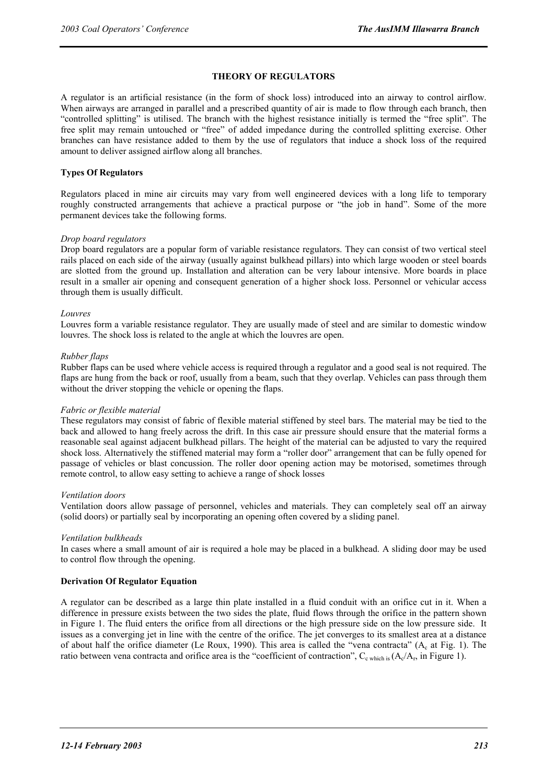# **THEORY OF REGULATORS**

A regulator is an artificial resistance (in the form of shock loss) introduced into an airway to control airflow. When airways are arranged in parallel and a prescribed quantity of air is made to flow through each branch, then "controlled splitting" is utilised. The branch with the highest resistance initially is termed the "free split". The free split may remain untouched or "free" of added impedance during the controlled splitting exercise. Other branches can have resistance added to them by the use of regulators that induce a shock loss of the required amount to deliver assigned airflow along all branches.

# **Types Of Regulators**

Regulators placed in mine air circuits may vary from well engineered devices with a long life to temporary roughly constructed arrangements that achieve a practical purpose or "the job in hand". Some of the more permanent devices take the following forms.

# *Drop board regulators*

Drop board regulators are a popular form of variable resistance regulators. They can consist of two vertical steel rails placed on each side of the airway (usually against bulkhead pillars) into which large wooden or steel boards are slotted from the ground up. Installation and alteration can be very labour intensive. More boards in place result in a smaller air opening and consequent generation of a higher shock loss. Personnel or vehicular access through them is usually difficult.

#### *Louvres*

Louvres form a variable resistance regulator. They are usually made of steel and are similar to domestic window louvres. The shock loss is related to the angle at which the louvres are open.

#### *Rubber flaps*

Rubber flaps can be used where vehicle access is required through a regulator and a good seal is not required. The flaps are hung from the back or roof, usually from a beam, such that they overlap. Vehicles can pass through them without the driver stopping the vehicle or opening the flaps.

# *Fabric or flexible material*

These regulators may consist of fabric of flexible material stiffened by steel bars. The material may be tied to the back and allowed to hang freely across the drift. In this case air pressure should ensure that the material forms a reasonable seal against adjacent bulkhead pillars. The height of the material can be adjusted to vary the required shock loss. Alternatively the stiffened material may form a "roller door" arrangement that can be fully opened for passage of vehicles or blast concussion. The roller door opening action may be motorised, sometimes through remote control, to allow easy setting to achieve a range of shock losses

#### *Ventilation doors*

Ventilation doors allow passage of personnel, vehicles and materials. They can completely seal off an airway (solid doors) or partially seal by incorporating an opening often covered by a sliding panel.

# *Ventilation bulkheads*

In cases where a small amount of air is required a hole may be placed in a bulkhead. A sliding door may be used to control flow through the opening.

# **Derivation Of Regulator Equation**

A regulator can be described as a large thin plate installed in a fluid conduit with an orifice cut in it. When a difference in pressure exists between the two sides the plate, fluid flows through the orifice in the pattern shown in Figure 1. The fluid enters the orifice from all directions or the high pressure side on the low pressure side. It issues as a converging jet in line with the centre of the orifice. The jet converges to its smallest area at a distance of about half the orifice diameter (Le Roux, 1990). This area is called the "vena contracta" (A<sub>c</sub> at Fig. 1). The ratio between vena contracta and orifice area is the "coefficient of contraction",  $C_{c}$  which is  $(A_c/A_r)$ , in Figure 1).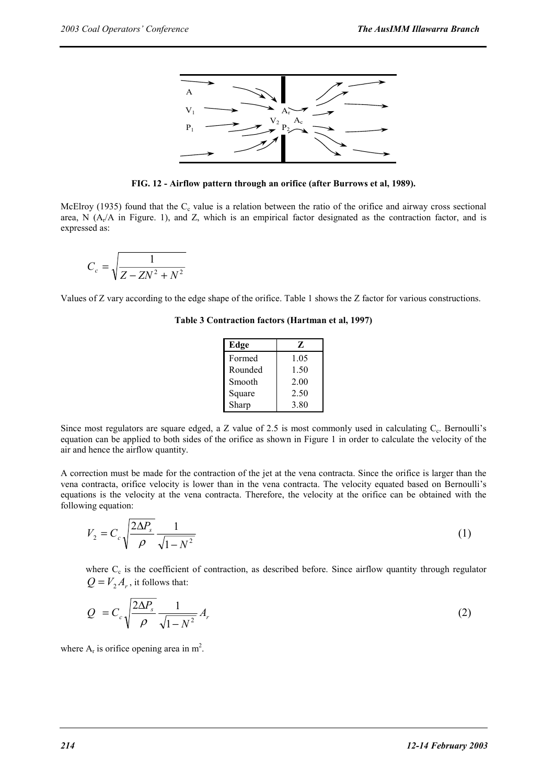

**FIG. 12 - Airflow pattern through an orifice (after Burrows et al, 1989).** 

McElroy (1935) found that the  $C_c$  value is a relation between the ratio of the orifice and airway cross sectional area, N  $(A<sub>r</sub>/A$  in Figure. 1), and Z, which is an empirical factor designated as the contraction factor, and is expressed as:

$$
C_c = \sqrt{\frac{1}{Z - ZN^2 + N^2}}
$$

Values of Z vary according to the edge shape of the orifice. Table 1 shows the Z factor for various constructions.

**Table 3 Contraction factors (Hartman et al, 1997)** 

| Edge    | 7.   |  |  |
|---------|------|--|--|
| Formed  | 1.05 |  |  |
| Rounded | 1.50 |  |  |
| Smooth  | 2.00 |  |  |
| Square  | 2.50 |  |  |
| Sharp   | 3.80 |  |  |

Since most regulators are square edged, a Z value of 2.5 is most commonly used in calculating  $C_c$ . Bernoulli's equation can be applied to both sides of the orifice as shown in Figure 1 in order to calculate the velocity of the air and hence the airflow quantity.

A correction must be made for the contraction of the jet at the vena contracta. Since the orifice is larger than the vena contracta, orifice velocity is lower than in the vena contracta. The velocity equated based on Bernoulli's equations is the velocity at the vena contracta. Therefore, the velocity at the orifice can be obtained with the following equation:

$$
V_2 = C_c \sqrt{\frac{2\Delta P_s}{\rho}} \frac{1}{\sqrt{1 - N^2}}\tag{1}
$$

where C<sub>c</sub> is the coefficient of contraction, as described before. Since airflow quantity through regulator  $Q = V_2 A_r$ , it follows that:

$$
Q = C_c \sqrt{\frac{2\Delta P_s}{\rho}} \frac{1}{\sqrt{1 - N^2}} A_r
$$
 (2)

where  $A_r$  is orifice opening area in m<sup>2</sup>.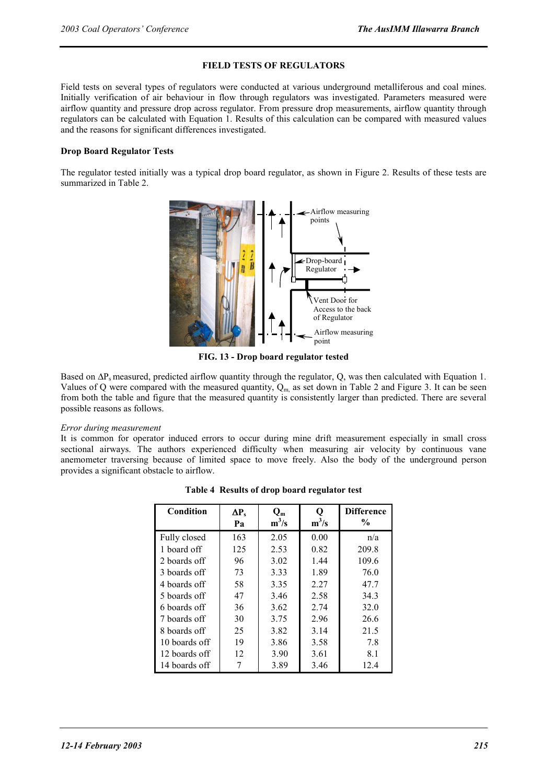# **FIELD TESTS OF REGULATORS**

Field tests on several types of regulators were conducted at various underground metalliferous and coal mines. Initially verification of air behaviour in flow through regulators was investigated. Parameters measured were airflow quantity and pressure drop across regulator. From pressure drop measurements, airflow quantity through regulators can be calculated with Equation 1. Results of this calculation can be compared with measured values and the reasons for significant differences investigated.

# **Drop Board Regulator Tests**

The regulator tested initially was a typical drop board regulator, as shown in Figure 2. Results of these tests are summarized in Table 2.



**FIG. 13 - Drop board regulator tested** 

Based on ΔP<sub>s</sub> measured, predicted airflow quantity through the regulator, Q, was then calculated with Equation 1. Values of Q were compared with the measured quantity,  $Q_m$  as set down in Table 2 and Figure 3. It can be seen from both the table and figure that the measured quantity is consistently larger than predicted. There are several possible reasons as follows.

# *Error during measurement*

It is common for operator induced errors to occur during mine drift measurement especially in small cross sectional airways. The authors experienced difficulty when measuring air velocity by continuous vane anemometer traversing because of limited space to move freely. Also the body of the underground person provides a significant obstacle to airflow.

| Condition     | $\Delta P_s$<br>Pa | $Q_m$<br>$m^3/s$ | $m^3/s$ | <b>Difference</b><br>$\frac{0}{0}$ |
|---------------|--------------------|------------------|---------|------------------------------------|
| Fully closed  | 163                | 2.05             | 0.00    | n/a                                |
| 1 board off   | 125                | 2.53             | 0.82    | 209.8                              |
| 2 boards off  | 96                 | 3.02             | 1.44    | 109.6                              |
| 3 boards off  | 73                 | 3.33             | 1.89    | 76.0                               |
| 4 boards off  | 58                 | 3.35             | 2.27    | 47.7                               |
| 5 boards off  | 47                 | 3.46             | 2.58    | 34.3                               |
| 6 boards off  | 36                 | 3.62             | 2.74    | 32.0                               |
| 7 boards off  | 30                 | 3.75             | 2.96    | 26.6                               |
| 8 boards off  | 25                 | 3.82             | 3.14    | 21.5                               |
| 10 boards off | 19                 | 3.86             | 3.58    | 7.8                                |
| 12 boards off | 12                 | 3.90             | 3.61    | 8.1                                |
| 14 boards off |                    | 3.89             | 3.46    | 12.4                               |

**Table 4 Results of drop board regulator test**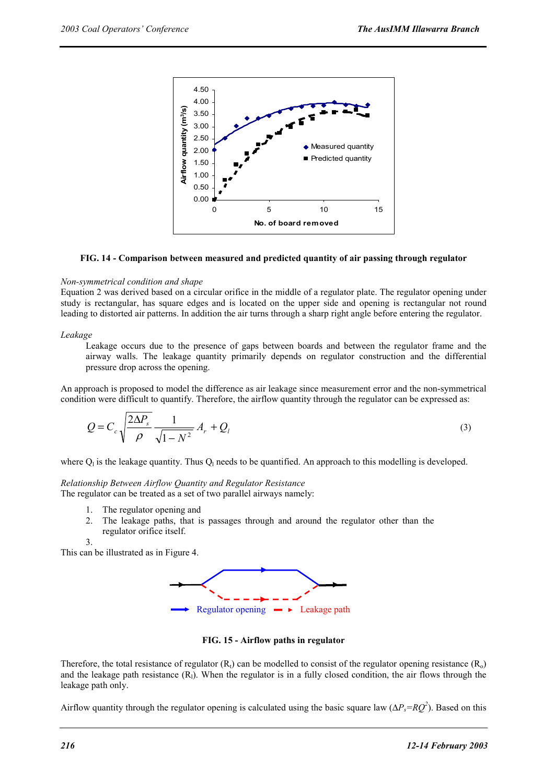

# **FIG. 14 - Comparison between measured and predicted quantity of air passing through regulator**

#### *Non-symmetrical condition and shape*

Equation 2 was derived based on a circular orifice in the middle of a regulator plate. The regulator opening under study is rectangular, has square edges and is located on the upper side and opening is rectangular not round leading to distorted air patterns. In addition the air turns through a sharp right angle before entering the regulator.

#### *Leakage*

Leakage occurs due to the presence of gaps between boards and between the regulator frame and the airway walls. The leakage quantity primarily depends on regulator construction and the differential pressure drop across the opening.

An approach is proposed to model the difference as air leakage since measurement error and the non-symmetrical condition were difficult to quantify. Therefore, the airflow quantity through the regulator can be expressed as:

$$
Q = C_c \sqrt{\frac{2\Delta P_s}{\rho} \frac{1}{\sqrt{1 - N^2}}} A_r + Q_l
$$
\n(3)

where  $Q_1$  is the leakage quantity. Thus  $Q_1$  needs to be quantified. An approach to this modelling is developed.

# *Relationship Between Airflow Quantity and Regulator Resistance*

The regulator can be treated as a set of two parallel airways namely:

- 1. The regulator opening and
- 2. The leakage paths, that is passages through and around the regulator other than the regulator orifice itself.

3.

This can be illustrated as in Figure 4.



**FIG. 15 - Airflow paths in regulator** 

Therefore, the total resistance of regulator  $(R_t)$  can be modelled to consist of the regulator opening resistance  $(R_0)$ and the leakage path resistance  $(R<sub>l</sub>)$ . When the regulator is in a fully closed condition, the air flows through the leakage path only.

Airflow quantity through the regulator opening is calculated using the basic square law ( $\Delta P_s = RQ^2$ ). Based on this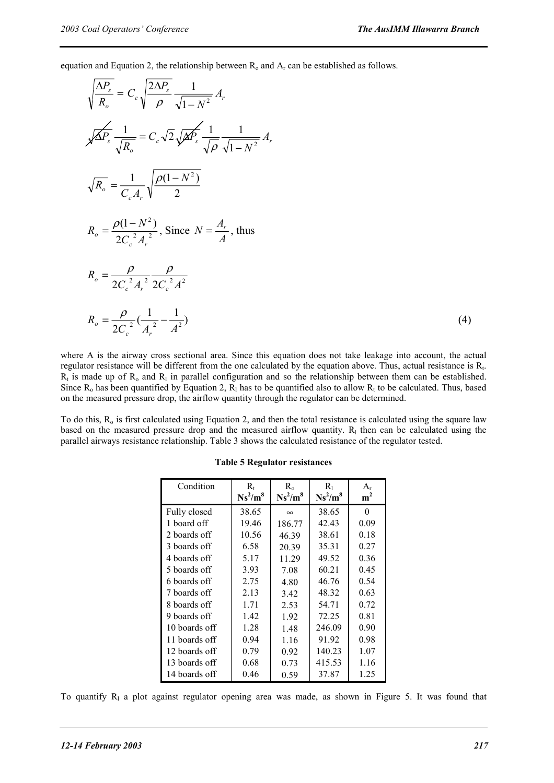equation and Equation 2, the relationship between  $R_0$  and  $A_r$  can be established as follows.

$$
\sqrt{\frac{\Delta P_s}{R_o}} = C_c \sqrt{\frac{2\Delta P_s}{\rho}} \frac{1}{\sqrt{1 - N^2}} A_r
$$
\n
$$
\sqrt{\Delta P_s} \frac{1}{\sqrt{R_o}} = C_c \sqrt{2} \sqrt{\Delta P_s} \frac{1}{\sqrt{\rho}} \frac{1}{\sqrt{1 - N^2}} A_r
$$
\n
$$
\sqrt{R_o} = \frac{1}{C_c A_r} \sqrt{\frac{\rho (1 - N^2)}{2}}
$$
\n
$$
R_o = \frac{\rho (1 - N^2)}{2C_c^2 A_r^2}, \text{ Since } N = \frac{A_r}{A}, \text{ thus}
$$
\n
$$
R_o = \frac{\rho}{2C_c^2 A_r^2} \frac{\rho}{2C_c^2 A^2}
$$
\n
$$
R_o = \frac{\rho}{2C_c^2} (\frac{1}{A_r^2} - \frac{1}{A^2})
$$
\n(4)

where A is the airway cross sectional area. Since this equation does not take leakage into account, the actual regulator resistance will be different from the one calculated by the equation above. Thus, actual resistance is R<sub>t</sub>.  $R_t$  is made up of  $R_0$  and  $R_1$  in parallel configuration and so the relationship between them can be established. Since  $R_0$  has been quantified by Equation 2,  $R_1$  has to be quantified also to allow  $R_t$  to be calculated. Thus, based on the measured pressure drop, the airflow quantity through the regulator can be determined.

To do this,  $R_0$  is first calculated using Equation 2, and then the total resistance is calculated using the square law based on the measured pressure drop and the measured airflow quantity.  $R_1$  then can be calculated using the parallel airways resistance relationship. Table 3 shows the calculated resistance of the regulator tested.

| Condition     | $\rm R_{t}$ | $R_{0}$    | $R_{1}$    | $A_{r}$        |
|---------------|-------------|------------|------------|----------------|
|               | $Ns^2/m^8$  | $Ns^2/m^8$ | $Ns^2/m^8$ | m <sup>2</sup> |
| Fully closed  | 38.65       | $\infty$   | 38.65      | $\theta$       |
| 1 board off   | 19.46       | 186.77     | 42.43      | 0.09           |
| 2 boards off  | 10.56       | 46.39      | 38.61      | 0.18           |
| 3 boards off  | 6.58        | 20.39      | 35.31      | 0.27           |
| 4 boards off  | 5.17        | 11.29      | 49.52      | 0.36           |
| 5 boards off  | 3.93        | 7.08       | 60.21      | 0.45           |
| 6 boards off  | 2.75        | 4.80       | 46.76      | 0.54           |
| 7 boards off  | 2.13        | 3.42       | 48.32      | 0.63           |
| 8 boards off  | 1.71        | 2.53       | 54.71      | 0.72           |
| 9 boards off  | 1.42        | 1.92       | 72.25      | 0.81           |
| 10 boards off | 1.28        | 1.48       | 246.09     | 0.90           |
| 11 boards off | 0.94        | 1.16       | 91.92      | 0.98           |
| 12 boards off | 0.79        | 0.92       | 140.23     | 1.07           |
| 13 boards off | 0.68        | 0.73       | 415.53     | 1.16           |
| 14 boards off | 0.46        | 0.59       | 37.87      | 1.25           |

#### **Table 5 Regulator resistances**

To quantify  $R_1$  a plot against regulator opening area was made, as shown in Figure 5. It was found that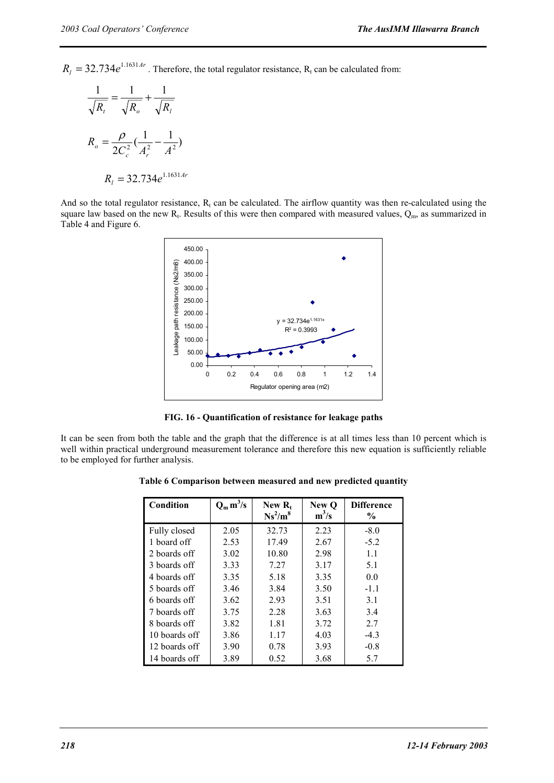$R_l = 32.734e^{1.1631Ar}$ . Therefore, the total regulator resistance, R<sub>t</sub> can be calculated from:

$$
\frac{1}{\sqrt{R_t}} = \frac{1}{\sqrt{R_o}} + \frac{1}{\sqrt{R_l}}
$$

$$
R_o = \frac{\rho}{2C_c^2} (\frac{1}{A_r^2} - \frac{1}{A^2})
$$

$$
R_l = 32.734e^{1.1631Ar}
$$

And so the total regulator resistance,  $R_t$  can be calculated. The airflow quantity was then re-calculated using the square law based on the new  $R_t$ . Results of this were then compared with measured values,  $Q_m$ , as summarized in Table 4 and Figure 6.



**FIG. 16 - Quantification of resistance for leakage paths** 

It can be seen from both the table and the graph that the difference is at all times less than 10 percent which is well within practical underground measurement tolerance and therefore this new equation is sufficiently reliable to be employed for further analysis.

| Condition     | $Q_m m^3/s$ | New $R_t$<br>$Ns^2/m^8$ | New O<br>$m^3/s$ | <b>Difference</b><br>$\frac{0}{0}$ |
|---------------|-------------|-------------------------|------------------|------------------------------------|
| Fully closed  | 2.05        | 32.73                   | 2.23             | $-8.0$                             |
| 1 board off   | 2.53        | 17.49                   | 2.67             | $-5.2$                             |
| 2 boards off  | 3.02        | 10.80                   | 2.98             | 1.1                                |
| 3 boards off  | 3.33        | 7.27                    | 3.17             | 5.1                                |
| 4 boards off  | 3.35        | 5.18                    | 3.35             | 0.0                                |
| 5 boards off  | 3.46        | 3.84                    | 3.50             | $-1.1$                             |
| 6 boards off  | 3.62        | 2.93                    | 3.51             | 3.1                                |
| 7 boards off  | 3.75        | 2.28                    | 3.63             | 3.4                                |
| 8 boards off  | 3.82        | 1.81                    | 3.72             | 2.7                                |
| 10 boards off | 3.86        | 1.17                    | 4.03             | $-4.3$                             |
| 12 boards off | 3.90        | 0.78                    | 3.93             | $-0.8$                             |
| 14 boards off | 3.89        | 0.52                    | 3.68             | 5.7                                |

**Table 6 Comparison between measured and new predicted quantity**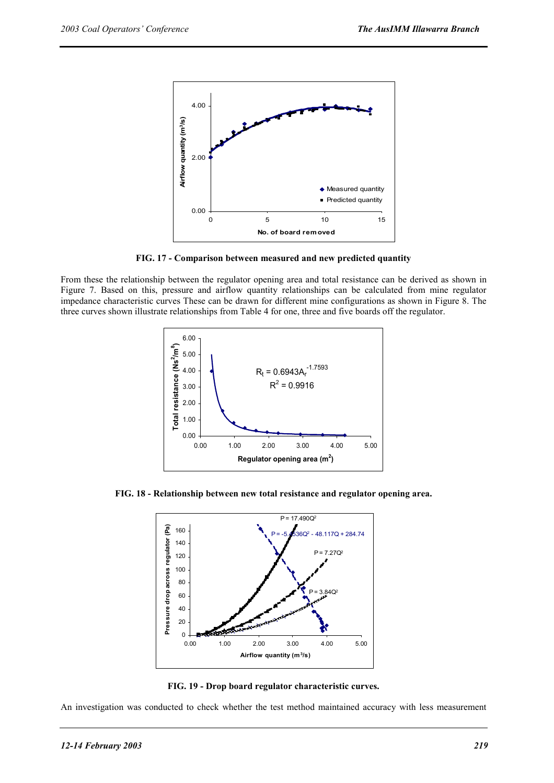

**FIG. 17 - Comparison between measured and new predicted quantity** 

From these the relationship between the regulator opening area and total resistance can be derived as shown in Figure 7. Based on this, pressure and airflow quantity relationships can be calculated from mine regulator impedance characteristic curves These can be drawn for different mine configurations as shown in Figure 8. The three curves shown illustrate relationships from Table 4 for one, three and five boards off the regulator.



**FIG. 18 - Relationship between new total resistance and regulator opening area.** 



**FIG. 19 - Drop board regulator characteristic curves.** 

An investigation was conducted to check whether the test method maintained accuracy with less measurement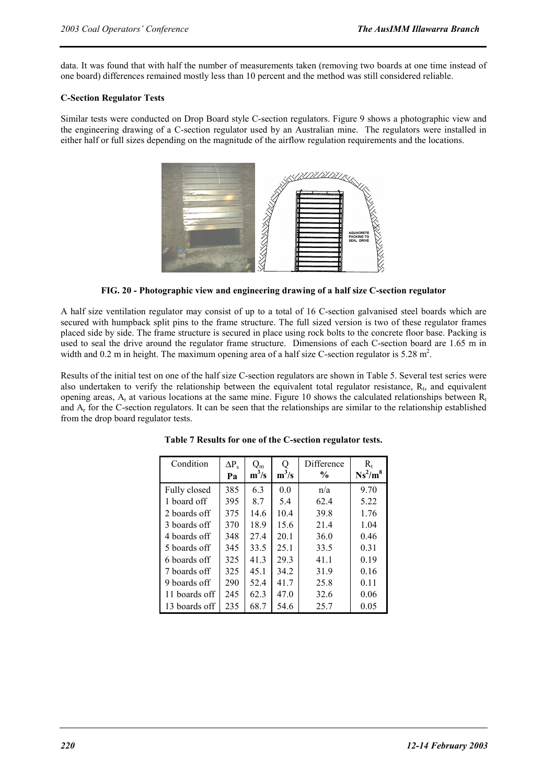data. It was found that with half the number of measurements taken (removing two boards at one time instead of one board) differences remained mostly less than 10 percent and the method was still considered reliable.

# **C-Section Regulator Tests**

Similar tests were conducted on Drop Board style C-section regulators. Figure 9 shows a photographic view and the engineering drawing of a C-section regulator used by an Australian mine. The regulators were installed in either half or full sizes depending on the magnitude of the airflow regulation requirements and the locations.



**FIG. 20 - Photographic view and engineering drawing of a half size C-section regulator** 

A half size ventilation regulator may consist of up to a total of 16 C-section galvanised steel boards which are secured with humpback split pins to the frame structure. The full sized version is two of these regulator frames placed side by side. The frame structure is secured in place using rock bolts to the concrete floor base. Packing is used to seal the drive around the regulator frame structure. Dimensions of each C-section board are 1.65 m in width and  $0.2$  m in height. The maximum opening area of a half size C-section regulator is  $5.28$  m<sup>2</sup>.

Results of the initial test on one of the half size C-section regulators are shown in Table 5. Several test series were also undertaken to verify the relationship between the equivalent total regulator resistance,  $R<sub>t</sub>$ , and equivalent opening areas,  $A_r$  at various locations at the same mine. Figure 10 shows the calculated relationships between  $R_t$ and  $A_r$  for the C-section regulators. It can be seen that the relationships are similar to the relationship established from the drop board regulator tests.

| Condition     | $\Delta P_s$ | $\mathsf{Q}_{\mathsf{m}}$ |         | Difference    | $\rm R_{\rm t}$ |
|---------------|--------------|---------------------------|---------|---------------|-----------------|
|               | Pa           | $m^3/s$                   | $m^3/s$ | $\frac{6}{9}$ | $Ns^2/m^8$      |
| Fully closed  | 385          | 6.3                       | 0.0     | n/a           | 9.70            |
| 1 board off   | 395          | 8.7                       | 5.4     | 62.4          | 5.22            |
| 2 boards off  | 375          | 14.6                      | 10.4    | 39.8          | 1.76            |
| 3 boards off  | 370          | 18.9                      | 15.6    | 21.4          | 1.04            |
| 4 boards off  | 348          | 27.4                      | 20.1    | 36.0          | 0.46            |
| 5 boards off  | 345          | 33.5                      | 25.1    | 33.5          | 0.31            |
| 6 boards off  | 325          | 41.3                      | 29.3    | 41.1          | 0.19            |
| 7 boards off  | 325          | 45.1                      | 34.2    | 31.9          | 0.16            |
| 9 boards off  | 290          | 52.4                      | 41.7    | 25.8          | 0.11            |
| 11 boards off | 245          | 62.3                      | 47.0    | 32.6          | 0.06            |
| 13 boards off | 235          | 68.7                      | 54.6    | 25.7          | 0.05            |

**Table 7 Results for one of the C-section regulator tests.**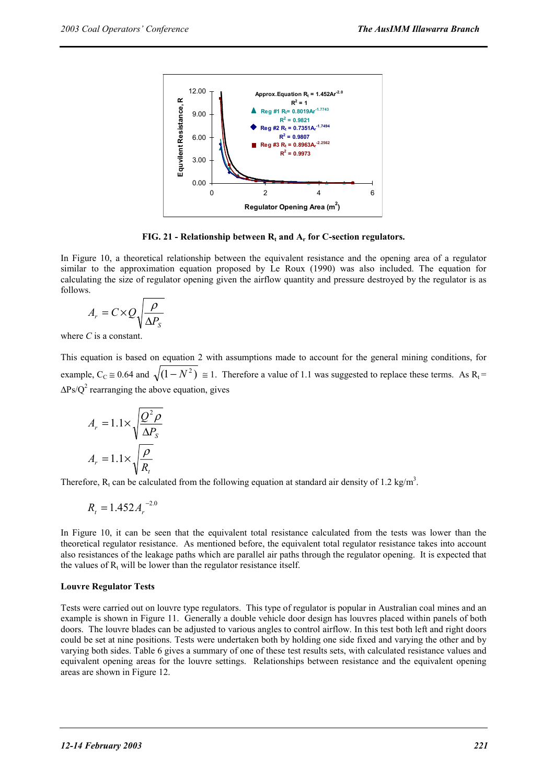

**FIG. 21 - Relationship between**  $R_t$  **and**  $A_r$  **for C-section regulators.** 

In Figure 10, a theoretical relationship between the equivalent resistance and the opening area of a regulator similar to the approximation equation proposed by Le Roux (1990) was also included. The equation for calculating the size of regulator opening given the airflow quantity and pressure destroyed by the regulator is as follows.

$$
A_r = C \times Q \sqrt{\frac{\rho}{\Delta P_s}}
$$

where *C* is a constant.

This equation is based on equation 2 with assumptions made to account for the general mining conditions, for example,  $C_c \approx 0.64$  and  $\sqrt{(1 - N^2)} \approx 1$ . Therefore a value of 1.1 was suggested to replace these terms. As R<sub>t</sub> =  $\Delta$ Ps/Q<sup>2</sup> rearranging the above equation, gives

$$
A_r = 1.1 \times \sqrt{\frac{Q^2 \rho}{\Delta P_s}}
$$

$$
A_r = 1.1 \times \sqrt{\frac{\rho}{R_t}}
$$

Therefore,  $R_t$  can be calculated from the following equation at standard air density of 1.2 kg/m<sup>3</sup>.

$$
R_t = 1.452 A_r^{-2.0}
$$

In Figure 10, it can be seen that the equivalent total resistance calculated from the tests was lower than the theoretical regulator resistance. As mentioned before, the equivalent total regulator resistance takes into account also resistances of the leakage paths which are parallel air paths through the regulator opening. It is expected that the values of  $R_t$  will be lower than the regulator resistance itself.

# **Louvre Regulator Tests**

Tests were carried out on louvre type regulators. This type of regulator is popular in Australian coal mines and an example is shown in Figure 11. Generally a double vehicle door design has louvres placed within panels of both doors. The louvre blades can be adjusted to various angles to control airflow. In this test both left and right doors could be set at nine positions. Tests were undertaken both by holding one side fixed and varying the other and by varying both sides. Table 6 gives a summary of one of these test results sets, with calculated resistance values and equivalent opening areas for the louvre settings. Relationships between resistance and the equivalent opening areas are shown in Figure 12.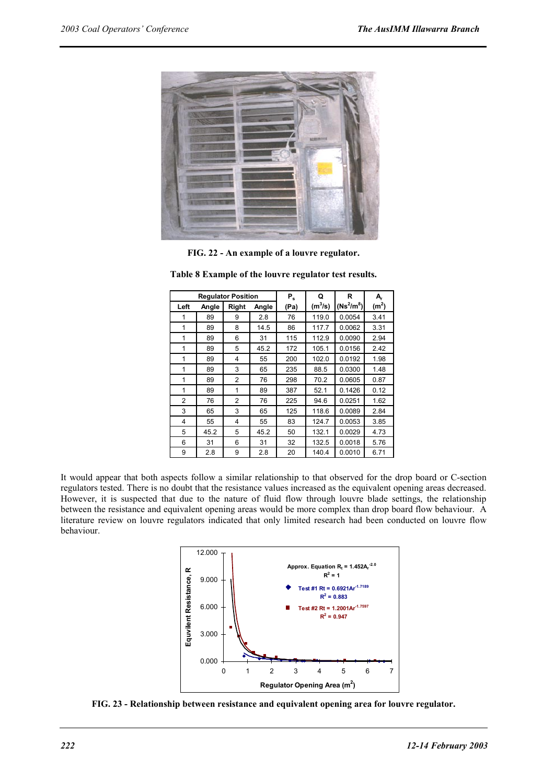

**FIG. 22 - An example of a louvre regulator.** 

| <b>Regulator Position</b> |       | $P_{s}$ | Q     | R    | A,        |              |                   |
|---------------------------|-------|---------|-------|------|-----------|--------------|-------------------|
| Left                      | Angle | Right   | Angle | (Pa) | $(m^3/s)$ | $(Ns^2/m^8)$ | (m <sup>2</sup> ) |
| 1                         | 89    | 9       | 2.8   | 76   | 119.0     | 0.0054       | 3.41              |
| 1                         | 89    | 8       | 14.5  | 86   | 117.7     | 0.0062       | 3.31              |
| 1                         | 89    | 6       | 31    | 115  | 112.9     | 0.0090       | 2.94              |
| 1                         | 89    | 5       | 45.2  | 172  | 105.1     | 0.0156       | 2.42              |
| 1                         | 89    | 4       | 55    | 200  | 102.0     | 0.0192       | 1.98              |
| 1                         | 89    | 3       | 65    | 235  | 88.5      | 0.0300       | 1.48              |
| 1                         | 89    | 2       | 76    | 298  | 70.2      | 0.0605       | 0.87              |
| 1                         | 89    | 1       | 89    | 387  | 52.1      | 0.1426       | 0.12              |
| 2                         | 76    | 2       | 76    | 225  | 94.6      | 0.0251       | 1.62              |
| 3                         | 65    | 3       | 65    | 125  | 118.6     | 0.0089       | 2.84              |
| 4                         | 55    | 4       | 55    | 83   | 124.7     | 0.0053       | 3.85              |
| 5                         | 45.2  | 5       | 45.2  | 50   | 132.1     | 0.0029       | 4.73              |
| 6                         | 31    | 6       | 31    | 32   | 132.5     | 0.0018       | 5.76              |
| 9                         | 2.8   | 9       | 2.8   | 20   | 140.4     | 0.0010       | 6.71              |

**Table 8 Example of the louvre regulator test results.** 

It would appear that both aspects follow a similar relationship to that observed for the drop board or C-section regulators tested. There is no doubt that the resistance values increased as the equivalent opening areas decreased. However, it is suspected that due to the nature of fluid flow through louvre blade settings, the relationship between the resistance and equivalent opening areas would be more complex than drop board flow behaviour. A literature review on louvre regulators indicated that only limited research had been conducted on louvre flow behaviour.



**FIG. 23 - Relationship between resistance and equivalent opening area for louvre regulator.**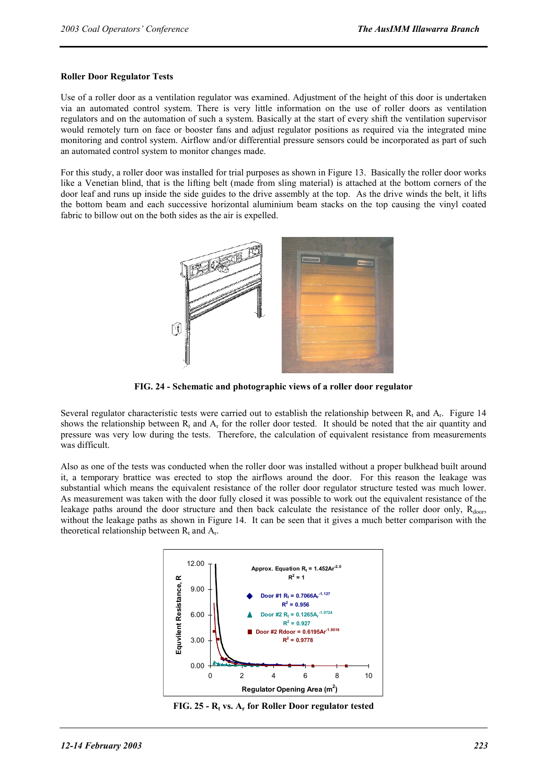# **Roller Door Regulator Tests**

Use of a roller door as a ventilation regulator was examined. Adjustment of the height of this door is undertaken via an automated control system. There is very little information on the use of roller doors as ventilation regulators and on the automation of such a system. Basically at the start of every shift the ventilation supervisor would remotely turn on face or booster fans and adjust regulator positions as required via the integrated mine monitoring and control system. Airflow and/or differential pressure sensors could be incorporated as part of such an automated control system to monitor changes made.

For this study, a roller door was installed for trial purposes as shown in Figure 13. Basically the roller door works like a Venetian blind, that is the lifting belt (made from sling material) is attached at the bottom corners of the door leaf and runs up inside the side guides to the drive assembly at the top. As the drive winds the belt, it lifts the bottom beam and each successive horizontal aluminium beam stacks on the top causing the vinyl coated fabric to billow out on the both sides as the air is expelled.



**FIG. 24 - Schematic and photographic views of a roller door regulator** 

Several regulator characteristic tests were carried out to establish the relationship between  $R_t$ , and  $A_t$ . Figure 14 shows the relationship between  $R_t$  and  $A_r$  for the roller door tested. It should be noted that the air quantity and pressure was very low during the tests. Therefore, the calculation of equivalent resistance from measurements was difficult.

Also as one of the tests was conducted when the roller door was installed without a proper bulkhead built around it, a temporary brattice was erected to stop the airflows around the door. For this reason the leakage was substantial which means the equivalent resistance of the roller door regulator structure tested was much lower. As measurement was taken with the door fully closed it was possible to work out the equivalent resistance of the leakage paths around the door structure and then back calculate the resistance of the roller door only,  $R_{door}$ , without the leakage paths as shown in Figure 14. It can be seen that it gives a much better comparison with the theoretical relationship between  $R_t$  and  $A_t$ .



FIG. 25 - R<sub>t</sub> vs. A<sub>r</sub> for Roller Door regulator tested